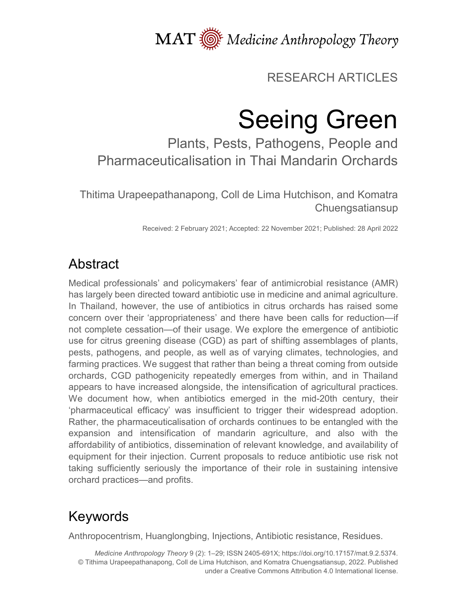MAT  $\overline{\text{W}}$  Medicine Anthropology Theory

# RESEARCH ARTICLES

# Seeing Green

Plants, Pests, Pathogens, People and Pharmaceuticalisation in Thai Mandarin Orchards

Thitima Urapeepathanapong, Coll de Lima Hutchison, and Komatra Chuengsatiansup

Received: 2 February 2021; Accepted: 22 November 2021; Published: 28 April 2022

# Abstract

Medical professionals' and policymakers' fear of antimicrobial resistance (AMR) has largely been directed toward antibiotic use in medicine and animal agriculture. In Thailand, however, the use of antibiotics in citrus orchards has raised some concern over their 'appropriateness' and there have been calls for reduction—if not complete cessation—of their usage. We explore the emergence of antibiotic use for citrus greening disease (CGD) as part of shifting assemblages of plants, pests, pathogens, and people, as well as of varying climates, technologies, and farming practices. We suggest that rather than being a threat coming from outside orchards, CGD pathogenicity repeatedly emerges from within, and in Thailand appears to have increased alongside, the intensification of agricultural practices. We document how, when antibiotics emerged in the mid-20th century, their 'pharmaceutical efficacy' was insufficient to trigger their widespread adoption. Rather, the pharmaceuticalisation of orchards continues to be entangled with the expansion and intensification of mandarin agriculture, and also with the affordability of antibiotics, dissemination of relevant knowledge, and availability of equipment for their injection. Current proposals to reduce antibiotic use risk not taking sufficiently seriously the importance of their role in sustaining intensive orchard practices—and profits.

# Keywords

Anthropocentrism, Huanglongbing, Injections, Antibiotic resistance, Residues.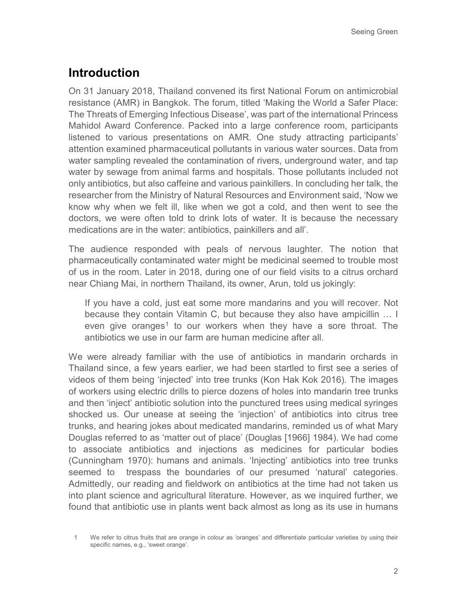## **Introduction**

On 31 January 2018, Thailand convened its first National Forum on antimicrobial resistance (AMR) in Bangkok. The forum, titled 'Making the World a Safer Place: The Threats of Emerging Infectious Disease', was part of the international Princess Mahidol Award Conference. Packed into a large conference room, participants listened to various presentations on AMR. One study attracting participants' attention examined pharmaceutical pollutants in various water sources. Data from water sampling revealed the contamination of rivers, underground water, and tap water by sewage from animal farms and hospitals. Those pollutants included not only antibiotics, but also caffeine and various painkillers. In concluding her talk, the researcher from the Ministry of Natural Resources and Environment said, 'Now we know why when we felt ill, like when we got a cold, and then went to see the doctors, we were often told to drink lots of water. It is because the necessary medications are in the water: antibiotics, painkillers and all'.

The audience responded with peals of nervous laughter. The notion that pharmaceutically contaminated water might be medicinal seemed to trouble most of us in the room. Later in 2018, during one of our field visits to a citrus orchard near Chiang Mai, in northern Thailand, its owner, Arun, told us jokingly:

If you have a cold, just eat some more mandarins and you will recover. Not because they contain Vitamin C, but because they also have ampicillin … I even give oranges<sup>[1](#page-1-0)</sup> to our workers when they have a sore throat. The antibiotics we use in our farm are human medicine after all.

We were already familiar with the use of antibiotics in mandarin orchards in Thailand since, a few years earlier, we had been startled to first see a series of videos of them being 'injected' into tree trunks (Kon Hak Kok 2016). The images of workers using electric drills to pierce dozens of holes into mandarin tree trunks and then 'inject' antibiotic solution into the punctured trees using medical syringes shocked us. Our unease at seeing the 'injection' of antibiotics into citrus tree trunks, and hearing jokes about medicated mandarins, reminded us of what Mary Douglas referred to as 'matter out of place' (Douglas [1966] 1984). We had come to associate antibiotics and injections as medicines for particular bodies (Cunningham 1970): humans and animals. 'Injecting' antibiotics into tree trunks seemed to trespass the boundaries of our presumed 'natural' categories. Admittedly, our reading and fieldwork on antibiotics at the time had not taken us into plant science and agricultural literature. However, as we inquired further, we found that antibiotic use in plants went back almost as long as its use in humans

<span id="page-1-0"></span><sup>1</sup> We refer to citrus fruits that are orange in colour as 'oranges' and differentiate particular varieties by using their specific names, e.g., 'sweet orange'.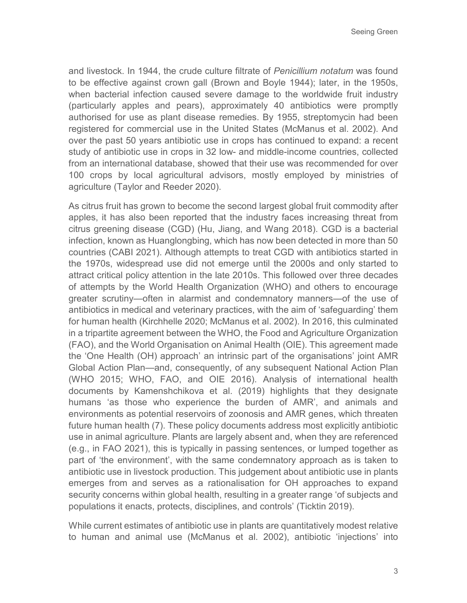and livestock. In 1944, the crude culture filtrate of *Penicillium notatum* was found to be effective against crown gall (Brown and Boyle 1944); later, in the 1950s, when bacterial infection caused severe damage to the worldwide fruit industry (particularly apples and pears), approximately 40 antibiotics were promptly authorised for use as plant disease remedies. By 1955, streptomycin had been registered for commercial use in the United States (McManus et al. 2002). And over the past 50 years antibiotic use in crops has continued to expand: a recent study of antibiotic use in crops in 32 low- and middle-income countries, collected from an international database, showed that their use was recommended for over 100 crops by local agricultural advisors, mostly employed by ministries of agriculture (Taylor and Reeder 2020).

As citrus fruit has grown to become the second largest global fruit commodity after apples, it has also been reported that the industry faces increasing threat from citrus greening disease (CGD) (Hu, Jiang, and Wang 2018). CGD is a bacterial infection, known as Huanglongbing, which has now been detected in more than 50 countries (CABI 2021). Although attempts to treat CGD with antibiotics started in the 1970s, widespread use did not emerge until the 2000s and only started to attract critical policy attention in the late 2010s. This followed over three decades of attempts by the World Health Organization (WHO) and others to encourage greater scrutiny—often in alarmist and condemnatory manners—of the use of antibiotics in medical and veterinary practices, with the aim of 'safeguarding' them for human health (Kirchhelle 2020; McManus et al. 2002). In 2016, this culminated in a tripartite agreement between the WHO, the Food and Agriculture Organization (FAO), and the World Organisation on Animal Health (OIE). This agreement made the 'One Health (OH) approach' an intrinsic part of the organisations' joint AMR Global Action Plan—and, consequently, of any subsequent National Action Plan (WHO 2015; WHO, FAO, and OIE 2016). Analysis of international health documents by Kamenshchikova et al. (2019) highlights that they designate humans 'as those who experience the burden of AMR', and animals and environments as potential reservoirs of zoonosis and AMR genes, which threaten future human health (7). These policy documents address most explicitly antibiotic use in animal agriculture. Plants are largely absent and, when they are referenced (e.g., in FAO 2021), this is typically in passing sentences, or lumped together as part of 'the environment', with the same condemnatory approach as is taken to antibiotic use in livestock production. This judgement about antibiotic use in plants emerges from and serves as a rationalisation for OH approaches to expand security concerns within global health, resulting in a greater range 'of subjects and populations it enacts, protects, disciplines, and controls' (Ticktin 2019).

While current estimates of antibiotic use in plants are quantitatively modest relative to human and animal use (McManus et al. 2002), antibiotic 'injections' into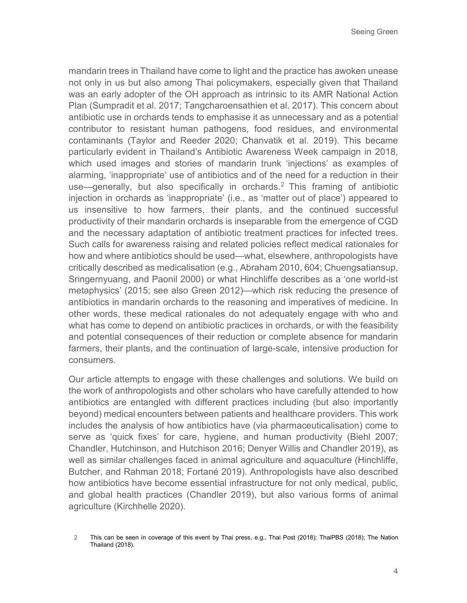mandarin trees in Thailand have come to light and the practice has awoken unease not only in us but also among Thai policymakers, especially given that Thailand was an early adopter of the OH approach as intrinsic to its AMR National Action Plan (Sumpradit et al. 2017; Tangcharoensathien et al. 2017). This concern about antibiotic use in orchards tends to emphasise it as unnecessary and as a potential contributor to resistant human pathogens, food residues, and environmental contaminants (Taylor and Reeder 2020; Chanvatik et al. 2019). This became particularly evident in Thailand's Antibiotic Awareness Week campaign in 2018, which used images and stories of mandarin trunk 'injections' as examples of alarming, 'inappropriate' use of antibiotics and of the need for a reduction in their use—generally, but also specifically in orchards[.2](#page-3-0) This framing of antibiotic injection in orchards as 'inappropriate' (i.e., as 'matter out of place') appeared to us insensitive to how farmers, their plants, and the continued successful productivity of their mandarin orchards is inseparable from the emergence of CGD and the necessary adaptation of antibiotic treatment practices for infected trees. Such calls for awareness raising and related policies reflect medical rationales for how and where antibiotics should be used—what, elsewhere, anthropologists have critically described as medicalisation (e.g., Abraham 2010, 604; Chuengsatiansup, Sringernyuang, and Paonil 2000) or what Hinchliffe describes as a 'one world-ist metaphysics' (2015; see also Green 2012)—which risk reducing the presence of antibiotics in mandarin orchards to the reasoning and imperatives of medicine. In other words, these medical rationales do not adequately engage with who and what has come to depend on antibiotic practices in orchards, or with the feasibility and potential consequences of their reduction or complete absence for mandarin farmers, their plants, and the continuation of large-scale, intensive production for consumers.

Our article attempts to engage with these challenges and solutions. We build on the work of anthropologists and other scholars who have carefully attended to how antibiotics are entangled with different practices including (but also importantly beyond) medical encounters between patients and healthcare providers. This work includes the analysis of how antibiotics have (via pharmaceuticalisation) come to serve as 'quick fixes' for care, hygiene, and human productivity (Biehl 2007; Chandler, Hutchinson, and Hutchison 2016; Denyer Willis and Chandler 2019), as well as similar challenges faced in animal agriculture and aquaculture (Hinchliffe, Butcher, and Rahman 2018; Fortané 2019). Anthropologists have also described how antibiotics have become essential infrastructure for not only medical, public, and global health practices (Chandler 2019), but also various forms of animal agriculture (Kirchhelle 2020).

<span id="page-3-0"></span><sup>2</sup> This can be seen in coverage of this event by Thai press, e.g., Thai Post (2018); ThaiPBS (2018); The Nation Thailand (2018).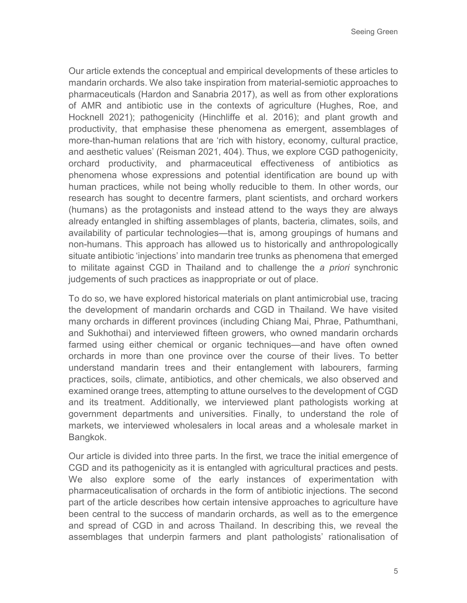Our article extends the conceptual and empirical developments of these articles to mandarin orchards. We also take inspiration from material-semiotic approaches to pharmaceuticals (Hardon and Sanabria 2017), as well as from other explorations of AMR and antibiotic use in the contexts of agriculture (Hughes, Roe, and Hocknell 2021); pathogenicity (Hinchliffe et al. 2016); and plant growth and productivity, that emphasise these phenomena as emergent, assemblages of more-than-human relations that are 'rich with history, economy, cultural practice, and aesthetic values' (Reisman 2021, 404). Thus, we explore CGD pathogenicity, orchard productivity, and pharmaceutical effectiveness of antibiotics as phenomena whose expressions and potential identification are bound up with human practices, while not being wholly reducible to them. In other words, our research has sought to decentre farmers, plant scientists, and orchard workers (humans) as the protagonists and instead attend to the ways they are always already entangled in shifting assemblages of plants, bacteria, climates, soils, and availability of particular technologies—that is, among groupings of humans and non-humans. This approach has allowed us to historically and anthropologically situate antibiotic 'injections' into mandarin tree trunks as phenomena that emerged to militate against CGD in Thailand and to challenge the *a priori* synchronic judgements of such practices as inappropriate or out of place.

To do so, we have explored historical materials on plant antimicrobial use, tracing the development of mandarin orchards and CGD in Thailand. We have visited many orchards in different provinces (including Chiang Mai, Phrae, Pathumthani, and Sukhothai) and interviewed fifteen growers, who owned mandarin orchards farmed using either chemical or organic techniques—and have often owned orchards in more than one province over the course of their lives. To better understand mandarin trees and their entanglement with labourers, farming practices, soils, climate, antibiotics, and other chemicals, we also observed and examined orange trees, attempting to attune ourselves to the development of CGD and its treatment. Additionally, we interviewed plant pathologists working at government departments and universities. Finally, to understand the role of markets, we interviewed wholesalers in local areas and a wholesale market in Bangkok.

Our article is divided into three parts. In the first, we trace the initial emergence of CGD and its pathogenicity as it is entangled with agricultural practices and pests. We also explore some of the early instances of experimentation with pharmaceuticalisation of orchards in the form of antibiotic injections. The second part of the article describes how certain intensive approaches to agriculture have been central to the success of mandarin orchards, as well as to the emergence and spread of CGD in and across Thailand. In describing this, we reveal the assemblages that underpin farmers and plant pathologists' rationalisation of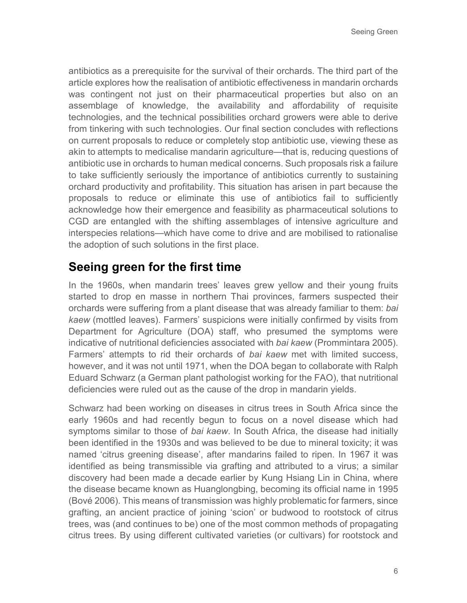antibiotics as a prerequisite for the survival of their orchards. The third part of the article explores how the realisation of antibiotic effectiveness in mandarin orchards was contingent not just on their pharmaceutical properties but also on an assemblage of knowledge, the availability and affordability of requisite technologies, and the technical possibilities orchard growers were able to derive from tinkering with such technologies. Our final section concludes with reflections on current proposals to reduce or completely stop antibiotic use, viewing these as akin to attempts to medicalise mandarin agriculture—that is, reducing questions of antibiotic use in orchards to human medical concerns. Such proposals risk a failure to take sufficiently seriously the importance of antibiotics currently to sustaining orchard productivity and profitability. This situation has arisen in part because the proposals to reduce or eliminate this use of antibiotics fail to sufficiently acknowledge how their emergence and feasibility as pharmaceutical solutions to CGD are entangled with the shifting assemblages of intensive agriculture and interspecies relations—which have come to drive and are mobilised to rationalise the adoption of such solutions in the first place.

### **Seeing green for the first time**

In the 1960s, when mandarin trees' leaves grew yellow and their young fruits started to drop en masse in northern Thai provinces, farmers suspected their orchards were suffering from a plant disease that was already familiar to them: *bai kaew* (mottled leaves). Farmers' suspicions were initially confirmed by visits from Department for Agriculture (DOA) staff, who presumed the symptoms were indicative of nutritional deficiencies associated with *bai kaew* (Prommintara 2005). Farmers' attempts to rid their orchards of *bai kaew* met with limited success, however, and it was not until 1971, when the DOA began to collaborate with Ralph Eduard Schwarz (a German plant pathologist working for the FAO), that nutritional deficiencies were ruled out as the cause of the drop in mandarin yields.

Schwarz had been working on diseases in citrus trees in South Africa since the early 1960s and had recently begun to focus on a novel disease which had symptoms similar to those of *bai kaew*. In South Africa, the disease had initially been identified in the 1930s and was believed to be due to mineral toxicity; it was named 'citrus greening disease', after mandarins failed to ripen. In 1967 it was identified as being transmissible via grafting and attributed to a virus; a similar discovery had been made a decade earlier by Kung Hsiang Lin in China, where the disease became known as Huanglongbing, becoming its official name in 1995 (Bové 2006). This means of transmission was highly problematic for farmers, since grafting, an ancient practice of joining 'scion' or budwood to rootstock of citrus trees, was (and continues to be) one of the most common methods of propagating citrus trees. By using different cultivated varieties (or cultivars) for rootstock and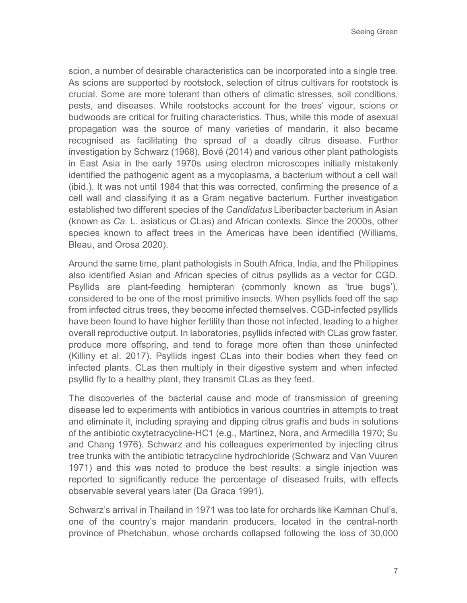scion, a number of desirable characteristics can be incorporated into a single tree. As scions are supported by rootstock, selection of citrus cultivars for rootstock is crucial. Some are more tolerant than others of climatic stresses, soil conditions, pests, and diseases. While rootstocks account for the trees' vigour, scions or budwoods are critical for fruiting characteristics. Thus, while this mode of asexual propagation was the source of many varieties of mandarin, it also became recognised as facilitating the spread of a deadly citrus disease. Further investigation by Schwarz (1968), Bové (2014) and various other plant pathologists in East Asia in the early 1970s using electron microscopes initially mistakenly identified the pathogenic agent as a mycoplasma, a bacterium without a cell wall (ibid.). It was not until 1984 that this was corrected, confirming the presence of a cell wall and classifying it as a Gram negative bacterium. Further investigation established two different species of the *Candidatus* Liberibacter bacterium in Asian (known as *Ca.* L. asiaticus or CLas) and African contexts. Since the 2000s, other species known to affect trees in the Americas have been identified (Williams, Bleau, and Orosa 2020).

Around the same time, plant pathologists in South Africa, India, and the Philippines also identified Asian and African species of citrus psyllids as a vector for CGD. Psyllids are plant-feeding hemipteran (commonly known as 'true bugs'), considered to be one of the most primitive insects. When psyllids feed off the sap from infected citrus trees, they become infected themselves. CGD-infected psyllids have been found to have higher fertility than those not infected, leading to a higher overall reproductive output. In laboratories, psyllids infected with CLas grow faster, produce more offspring, and tend to forage more often than those uninfected (Killiny et al. 2017). Psyllids ingest CLas into their bodies when they feed on infected plants. CLas then multiply in their digestive system and when infected psyllid fly to a healthy plant, they transmit CLas as they feed.

The discoveries of the bacterial cause and mode of transmission of greening disease led to experiments with antibiotics in various countries in attempts to treat and eliminate it, including spraying and dipping citrus grafts and buds in solutions of the antibiotic oxytetracycline-HC1 (e.g., Martinez, Nora, and Armedilla 1970; Su and Chang 1976). Schwarz and his colleagues experimented by injecting citrus tree trunks with the antibiotic tetracycline hydrochloride (Schwarz and Van Vuuren 1971) and this was noted to produce the best results: a single injection was reported to significantly reduce the percentage of diseased fruits, with effects observable several years later (Da Graca 1991).

Schwarz's arrival in Thailand in 1971 was too late for orchards like Kamnan Chul's, one of the country's major mandarin producers, located in the central-north province of Phetchabun, whose orchards collapsed following the loss of 30,000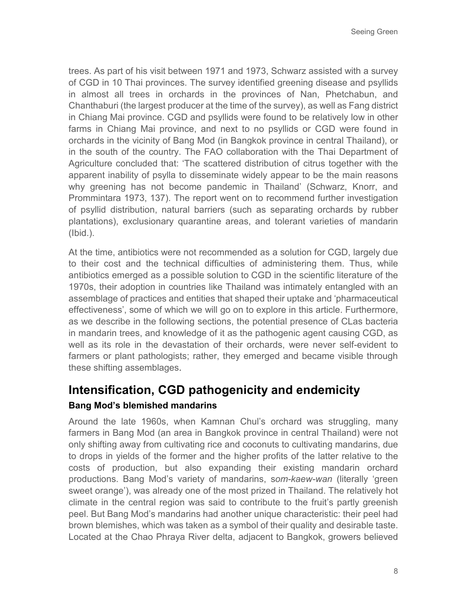trees. As part of his visit between 1971 and 1973, Schwarz assisted with a survey of CGD in 10 Thai provinces. The survey identified greening disease and psyllids in almost all trees in orchards in the provinces of Nan, Phetchabun, and Chanthaburi (the largest producer at the time of the survey), as well as Fang district in Chiang Mai province. CGD and psyllids were found to be relatively low in other farms in Chiang Mai province, and next to no psyllids or CGD were found in orchards in the vicinity of Bang Mod (in Bangkok province in central Thailand), or in the south of the country. The FAO collaboration with the Thai Department of Agriculture concluded that: 'The scattered distribution of citrus together with the apparent inability of psylla to disseminate widely appear to be the main reasons why greening has not become pandemic in Thailand' (Schwarz, Knorr, and Prommintara 1973, 137). The report went on to recommend further investigation of psyllid distribution, natural barriers (such as separating orchards by rubber plantations), exclusionary quarantine areas, and tolerant varieties of mandarin (Ibid.).

At the time, antibiotics were not recommended as a solution for CGD, largely due to their cost and the technical difficulties of administering them. Thus, while antibiotics emerged as a possible solution to CGD in the scientific literature of the 1970s, their adoption in countries like Thailand was intimately entangled with an assemblage of practices and entities that shaped their uptake and 'pharmaceutical effectiveness', some of which we will go on to explore in this article. Furthermore, as we describe in the following sections, the potential presence of CLas bacteria in mandarin trees, and knowledge of it as the pathogenic agent causing CGD, as well as its role in the devastation of their orchards, were never self-evident to farmers or plant pathologists; rather, they emerged and became visible through these shifting assemblages.

# **Intensification, CGD pathogenicity and endemicity**

#### **Bang Mod's blemished mandarins**

Around the late 1960s, when Kamnan Chul's orchard was struggling, many farmers in Bang Mod (an area in Bangkok province in central Thailand) were not only shifting away from cultivating rice and coconuts to cultivating mandarins, due to drops in yields of the former and the higher profits of the latter relative to the costs of production, but also expanding their existing mandarin orchard productions. Bang Mod's variety of mandarins, s*om-kaew-wan* (literally 'green sweet orange'), was already one of the most prized in Thailand. The relatively hot climate in the central region was said to contribute to the fruit's partly greenish peel. But Bang Mod's mandarins had another unique characteristic: their peel had brown blemishes, which was taken as a symbol of their quality and desirable taste. Located at the Chao Phraya River delta, adjacent to Bangkok, growers believed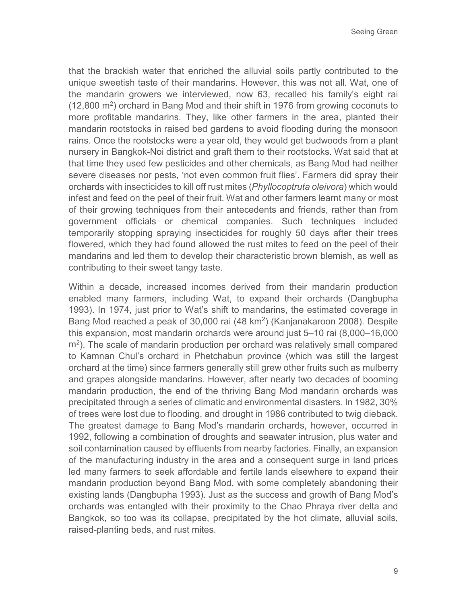that the brackish water that enriched the alluvial soils partly contributed to the unique sweetish taste of their mandarins. However, this was not all. Wat, one of the mandarin growers we interviewed, now 63, recalled his family's eight rai  $(12,800 \text{ m}^2)$  orchard in Bang Mod and their shift in 1976 from growing coconuts to more profitable mandarins. They, like other farmers in the area, planted their mandarin rootstocks in raised bed gardens to avoid flooding during the monsoon rains. Once the rootstocks were a year old, they would get budwoods from a plant nursery in Bangkok-Noi district and graft them to their rootstocks. Wat said that at that time they used few pesticides and other chemicals, as Bang Mod had neither severe diseases nor pests, 'not even common fruit flies'. Farmers did spray their orchards with insecticides to kill off rust mites (*Phyllocoptruta oleivora*) which would infest and feed on the peel of their fruit. Wat and other farmers learnt many or most of their growing techniques from their antecedents and friends, rather than from government officials or chemical companies. Such techniques included temporarily stopping spraying insecticides for roughly 50 days after their trees flowered, which they had found allowed the rust mites to feed on the peel of their mandarins and led them to develop their characteristic brown blemish, as well as contributing to their sweet tangy taste.

Within a decade, increased incomes derived from their mandarin production enabled many farmers, including Wat, to expand their orchards (Dangbupha 1993). In 1974, just prior to Wat's shift to mandarins, the estimated coverage in Bang Mod reached a peak of 30,000 rai (48 km2) (Kanjanakaroon 2008). Despite this expansion, most mandarin orchards were around just 5–10 rai (8,000–16,000  $\rm m^2$ ). The scale of mandarin production per orchard was relatively small compared to Kamnan Chul's orchard in Phetchabun province (which was still the largest orchard at the time) since farmers generally still grew other fruits such as mulberry and grapes alongside mandarins. However, after nearly two decades of booming mandarin production, the end of the thriving Bang Mod mandarin orchards was precipitated through a series of climatic and environmental disasters. In 1982, 30% of trees were lost due to flooding, and drought in 1986 contributed to twig dieback. The greatest damage to Bang Mod's mandarin orchards, however, occurred in 1992, following a combination of droughts and seawater intrusion, plus water and soil contamination caused by effluents from nearby factories. Finally, an expansion of the manufacturing industry in the area and a consequent surge in land prices led many farmers to seek affordable and fertile lands elsewhere to expand their mandarin production beyond Bang Mod, with some completely abandoning their existing lands (Dangbupha 1993). Just as the success and growth of Bang Mod's orchards was entangled with their proximity to the Chao Phraya river delta and Bangkok, so too was its collapse, precipitated by the hot climate, alluvial soils, raised-planting beds, and rust mites.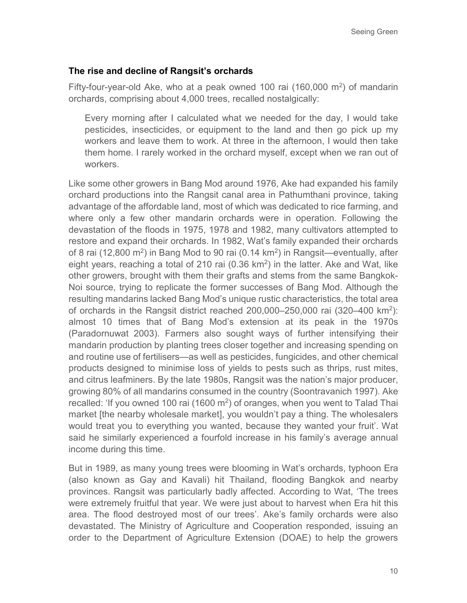#### **The rise and decline of Rangsit's orchards**

Fifty-four-year-old Ake, who at a peak owned 100 rai  $(160,000 \text{ m}^2)$  of mandarin orchards, comprising about 4,000 trees, recalled nostalgically:

Every morning after I calculated what we needed for the day, I would take pesticides, insecticides, or equipment to the land and then go pick up my workers and leave them to work. At three in the afternoon, I would then take them home. I rarely worked in the orchard myself, except when we ran out of workers.

Like some other growers in Bang Mod around 1976, Ake had expanded his family orchard productions into the Rangsit canal area in Pathumthani province, taking advantage of the affordable land, most of which was dedicated to rice farming, and where only a few other mandarin orchards were in operation. Following the devastation of the floods in 1975, 1978 and 1982, many cultivators attempted to restore and expand their orchards. In 1982, Wat's family expanded their orchards of 8 rai (12,800  $\text{m}^2$ ) in Bang Mod to 90 rai (0.14 km<sup>2</sup>) in Rangsit—eventually, after eight years, reaching a total of 210 rai  $(0.36 \text{ km}^2)$  in the latter. Ake and Wat, like other growers, brought with them their grafts and stems from the same Bangkok-Noi source, trying to replicate the former successes of Bang Mod. Although the resulting mandarins lacked Bang Mod's unique rustic characteristics, the total area of orchards in the Rangsit district reached 200,000–250,000 rai (320–400 km2): almost 10 times that of Bang Mod's extension at its peak in the 1970s (Paradornuwat 2003). Farmers also sought ways of further intensifying their mandarin production by planting trees closer together and increasing spending on and routine use of fertilisers—as well as pesticides, fungicides, and other chemical products designed to minimise loss of yields to pests such as thrips, rust mites, and citrus leafminers. By the late 1980s, Rangsit was the nation's major producer, growing 80% of all mandarins consumed in the country (Soontravanich 1997). Ake recalled: 'If you owned 100 rai (1600  $\mathrm{m}^2$ ) of oranges, when you went to Talad Thai market [the nearby wholesale market], you wouldn't pay a thing. The wholesalers would treat you to everything you wanted, because they wanted your fruit'. Wat said he similarly experienced a fourfold increase in his family's average annual income during this time.

But in 1989, as many young trees were blooming in Wat's orchards, typhoon Era (also known as Gay and Kavali) hit Thailand, flooding Bangkok and nearby provinces. Rangsit was particularly badly affected. According to Wat, 'The trees were extremely fruitful that year. We were just about to harvest when Era hit this area. The flood destroyed most of our trees'. Ake's family orchards were also devastated. The Ministry of Agriculture and Cooperation responded, issuing an order to the Department of Agriculture Extension (DOAE) to help the growers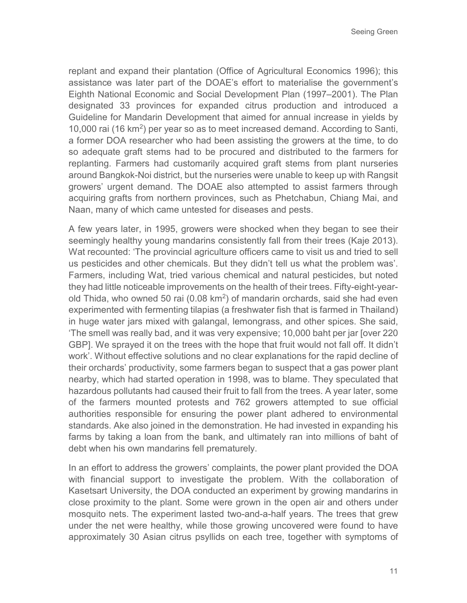Seeing Green

replant and expand their plantation (Office of Agricultural Economics 1996); this assistance was later part of the DOAE's effort to materialise the government's Eighth National Economic and Social Development Plan (1997–2001). The Plan designated 33 provinces for expanded citrus production and introduced a Guideline for Mandarin Development that aimed for annual increase in yields by 10,000 rai (16 km2) per year so as to meet increased demand. According to Santi, a former DOA researcher who had been assisting the growers at the time, to do so adequate graft stems had to be procured and distributed to the farmers for replanting. Farmers had customarily acquired graft stems from plant nurseries around Bangkok-Noi district, but the nurseries were unable to keep up with Rangsit growers' urgent demand. The DOAE also attempted to assist farmers through acquiring grafts from northern provinces, such as Phetchabun, Chiang Mai, and Naan, many of which came untested for diseases and pests.

A few years later, in 1995, growers were shocked when they began to see their seemingly healthy young mandarins consistently fall from their trees (Kaje 2013). Wat recounted: 'The provincial agriculture officers came to visit us and tried to sell us pesticides and other chemicals. But they didn't tell us what the problem was'. Farmers, including Wat, tried various chemical and natural pesticides, but noted they had little noticeable improvements on the health of their trees. Fifty-eight-yearold Thida, who owned 50 rai  $(0.08 \text{ km}^2)$  of mandarin orchards, said she had even experimented with fermenting tilapias (a freshwater fish that is farmed in Thailand) in huge water jars mixed with galangal, lemongrass, and other spices. She said, 'The smell was really bad, and it was very expensive; 10,000 baht per jar [over 220 GBP]. We sprayed it on the trees with the hope that fruit would not fall off. It didn't work'. Without effective solutions and no clear explanations for the rapid decline of their orchards' productivity, some farmers began to suspect that a gas power plant nearby, which had started operation in 1998, was to blame. They speculated that hazardous pollutants had caused their fruit to fall from the trees. A year later, some of the farmers mounted protests and 762 growers attempted to sue official authorities responsible for ensuring the power plant adhered to environmental standards. Ake also joined in the demonstration. He had invested in expanding his farms by taking a loan from the bank, and ultimately ran into millions of baht of debt when his own mandarins fell prematurely.

In an effort to address the growers' complaints, the power plant provided the DOA with financial support to investigate the problem. With the collaboration of Kasetsart University, the DOA conducted an experiment by growing mandarins in close proximity to the plant. Some were grown in the open air and others under mosquito nets. The experiment lasted two-and-a-half years. The trees that grew under the net were healthy, while those growing uncovered were found to have approximately 30 Asian citrus psyllids on each tree, together with symptoms of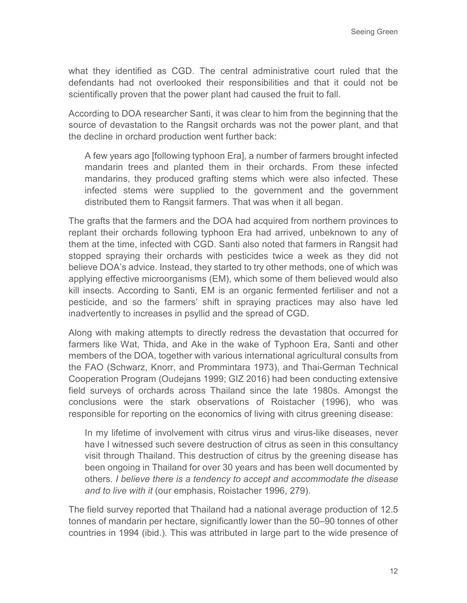what they identified as CGD. The central administrative court ruled that the defendants had not overlooked their responsibilities and that it could not be scientifically proven that the power plant had caused the fruit to fall.

According to DOA researcher Santi, it was clear to him from the beginning that the source of devastation to the Rangsit orchards was not the power plant, and that the decline in orchard production went further back:

A few years ago [following typhoon Era], a number of farmers brought infected mandarin trees and planted them in their orchards. From these infected mandarins, they produced grafting stems which were also infected. These infected stems were supplied to the government and the government distributed them to Rangsit farmers. That was when it all began.

The grafts that the farmers and the DOA had acquired from northern provinces to replant their orchards following typhoon Era had arrived, unbeknown to any of them at the time, infected with CGD. Santi also noted that farmers in Rangsit had stopped spraying their orchards with pesticides twice a week as they did not believe DOA's advice. Instead, they started to try other methods, one of which was applying effective microorganisms (EM), which some of them believed would also kill insects. According to Santi, EM is an organic fermented fertiliser and not a pesticide, and so the farmers' shift in spraying practices may also have led inadvertently to increases in psyllid and the spread of CGD.

Along with making attempts to directly redress the devastation that occurred for farmers like Wat, Thida, and Ake in the wake of Typhoon Era, Santi and other members of the DOA, together with various international agricultural consults from the FAO (Schwarz, Knorr, and Prommintara 1973), and Thai-German Technical Cooperation Program (Oudejans 1999; GIZ 2016) had been conducting extensive field surveys of orchards across Thailand since the late 1980s. Amongst the conclusions were the stark observations of Roistacher (1996), who was responsible for reporting on the economics of living with citrus greening disease:

In my lifetime of involvement with citrus virus and virus-like diseases, never have I witnessed such severe destruction of citrus as seen in this consultancy visit through Thailand. This destruction of citrus by the greening disease has been ongoing in Thailand for over 30 years and has been well documented by others*. I believe there is a tendency to accept and accommodate the disease and to live with it* (our emphasis, Roistacher 1996, 279).

The field survey reported that Thailand had a national average production of 12.5 tonnes of mandarin per hectare, significantly lower than the 50–90 tonnes of other countries in 1994 (ibid.). This was attributed in large part to the wide presence of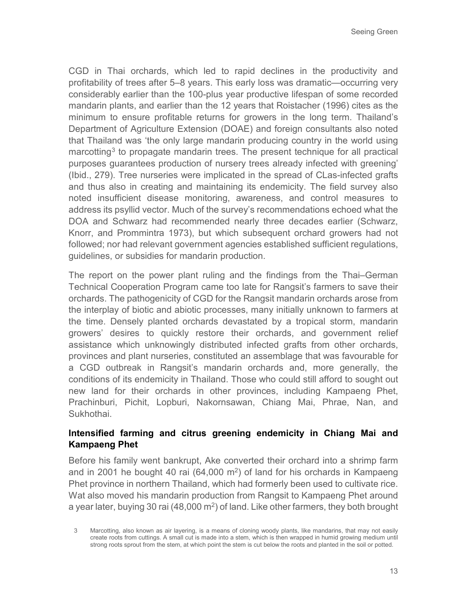CGD in Thai orchards, which led to rapid declines in the productivity and profitability of trees after 5–8 years. This early loss was dramatic—occurring very considerably earlier than the 100-plus year productive lifespan of some recorded mandarin plants, and earlier than the 12 years that Roistacher (1996) cites as the minimum to ensure profitable returns for growers in the long term. Thailand's Department of Agriculture Extension (DOAE) and foreign consultants also noted that Thailand was 'the only large mandarin producing country in the world using marcotting<sup>[3](#page-12-0)</sup> to propagate mandarin trees. The present technique for all practical purposes guarantees production of nursery trees already infected with greening' (Ibid., 279). Tree nurseries were implicated in the spread of CLas-infected grafts and thus also in creating and maintaining its endemicity. The field survey also noted insufficient disease monitoring, awareness, and control measures to address its psyllid vector. Much of the survey's recommendations echoed what the DOA and Schwarz had recommended nearly three decades earlier (Schwarz, Knorr, and Prommintra 1973), but which subsequent orchard growers had not followed; nor had relevant government agencies established sufficient regulations, guidelines, or subsidies for mandarin production.

The report on the power plant ruling and the findings from the Thai–German Technical Cooperation Program came too late for Rangsit's farmers to save their orchards. The pathogenicity of CGD for the Rangsit mandarin orchards arose from the interplay of biotic and abiotic processes, many initially unknown to farmers at the time. Densely planted orchards devastated by a tropical storm, mandarin growers' desires to quickly restore their orchards, and government relief assistance which unknowingly distributed infected grafts from other orchards, provinces and plant nurseries, constituted an assemblage that was favourable for a CGD outbreak in Rangsit's mandarin orchards and, more generally, the conditions of its endemicity in Thailand. Those who could still afford to sought out new land for their orchards in other provinces, including Kampaeng Phet, Prachinburi, Pichit, Lopburi, Nakornsawan, Chiang Mai, Phrae, Nan, and Sukhothai.

#### **Intensified farming and citrus greening endemicity in Chiang Mai and Kampaeng Phet**

Before his family went bankrupt, Ake converted their orchard into a shrimp farm and in 2001 he bought 40 rai (64,000  $m<sup>2</sup>$ ) of land for his orchards in Kampaeng Phet province in northern Thailand, which had formerly been used to cultivate rice. Wat also moved his mandarin production from Rangsit to Kampaeng Phet around a year later, buying 30 rai (48,000  $m^2$ ) of land. Like other farmers, they both brought

<span id="page-12-0"></span><sup>3</sup> Marcotting, also known as air layering, is a means of cloning woody plants, like mandarins, that may not easily create roots from cuttings. A small cut is made into a stem, which is then wrapped in humid growing medium until strong roots sprout from the stem, at which point the stem is cut below the roots and planted in the soil or potted.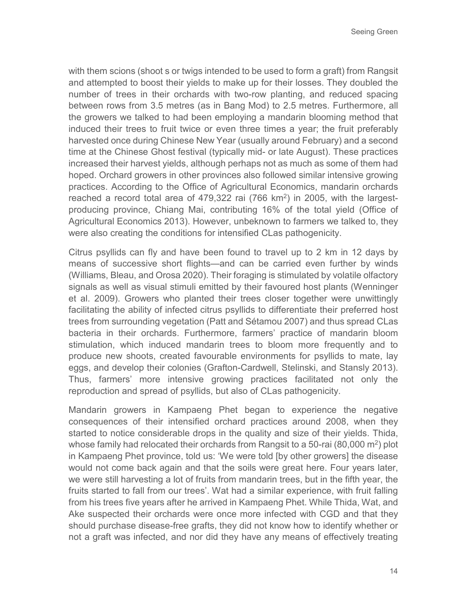with them scions (shoot s or twigs intended to be used to form a graft) from Rangsit and attempted to boost their yields to make up for their losses. They doubled the number of trees in their orchards with two-row planting, and reduced spacing between rows from 3.5 metres (as in Bang Mod) to 2.5 metres. Furthermore, all the growers we talked to had been employing a mandarin blooming method that induced their trees to fruit twice or even three times a year; the fruit preferably harvested once during Chinese New Year (usually around February) and a second time at the Chinese Ghost festival (typically mid- or late August). These practices increased their harvest yields, although perhaps not as much as some of them had hoped. Orchard growers in other provinces also followed similar intensive growing practices. According to the Office of Agricultural Economics, mandarin orchards reached a record total area of  $479,322$  rai  $(766 \text{ km}^2)$  in 2005, with the largestproducing province, Chiang Mai, contributing 16% of the total yield (Office of Agricultural Economics 2013). However, unbeknown to farmers we talked to, they were also creating the conditions for intensified CLas pathogenicity.

Citrus psyllids can fly and have been found to travel up to 2 km in 12 days by means of successive short flights—and can be carried even further by winds (Williams, Bleau, and Orosa 2020). Their foraging is stimulated by volatile olfactory signals as well as visual stimuli emitted by their favoured host plants (Wenninger et al. 2009). Growers who planted their trees closer together were unwittingly facilitating the ability of infected citrus psyllids to differentiate their preferred host trees from surrounding vegetation (Patt and Sétamou 2007) and thus spread CLas bacteria in their orchards. Furthermore, farmers' practice of mandarin bloom stimulation, which induced mandarin trees to bloom more frequently and to produce new shoots, created favourable environments for psyllids to mate, lay eggs, and develop their colonies (Grafton-Cardwell, Stelinski, and Stansly 2013). Thus, farmers' more intensive growing practices facilitated not only the reproduction and spread of psyllids, but also of CLas pathogenicity.

Mandarin growers in Kampaeng Phet began to experience the negative consequences of their intensified orchard practices around 2008, when they started to notice considerable drops in the quality and size of their yields. Thida, whose family had relocated their orchards from Rangsit to a 50-rai  $(80,000 \text{ m}^2)$  plot in Kampaeng Phet province, told us: 'We were told [by other growers] the disease would not come back again and that the soils were great here. Four years later, we were still harvesting a lot of fruits from mandarin trees, but in the fifth year, the fruits started to fall from our trees'. Wat had a similar experience, with fruit falling from his trees five years after he arrived in Kampaeng Phet. While Thida, Wat, and Ake suspected their orchards were once more infected with CGD and that they should purchase disease-free grafts, they did not know how to identify whether or not a graft was infected, and nor did they have any means of effectively treating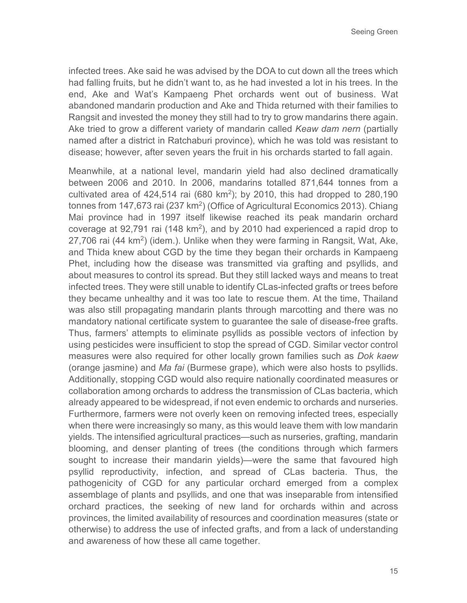infected trees. Ake said he was advised by the DOA to cut down all the trees which had falling fruits, but he didn't want to, as he had invested a lot in his trees. In the end, Ake and Wat's Kampaeng Phet orchards went out of business. Wat abandoned mandarin production and Ake and Thida returned with their families to Rangsit and invested the money they still had to try to grow mandarins there again. Ake tried to grow a different variety of mandarin called *Keaw dam nern* (partially named after a district in Ratchaburi province), which he was told was resistant to disease; however, after seven years the fruit in his orchards started to fall again.

Meanwhile, at a national level, mandarin yield had also declined dramatically between 2006 and 2010. In 2006, mandarins totalled 871,644 tonnes from a cultivated area of  $424,514$  rai  $(680 \text{ km}^2)$ ; by 2010, this had dropped to 280,190 tonnes from 147,673 rai (237 km<sup>2</sup>) (Office of Agricultural Economics 2013). Chiang Mai province had in 1997 itself likewise reached its peak mandarin orchard coverage at 92,791 rai (148 km<sup>2</sup>), and by 2010 had experienced a rapid drop to 27,706 rai (44 km<sup>2</sup>) (idem.). Unlike when they were farming in Rangsit, Wat, Ake, and Thida knew about CGD by the time they began their orchards in Kampaeng Phet, including how the disease was transmitted via grafting and psyllids, and about measures to control its spread. But they still lacked ways and means to treat infected trees. They were still unable to identify CLas-infected grafts or trees before they became unhealthy and it was too late to rescue them. At the time, Thailand was also still propagating mandarin plants through marcotting and there was no mandatory national certificate system to guarantee the sale of disease-free grafts. Thus, farmers' attempts to eliminate psyllids as possible vectors of infection by using pesticides were insufficient to stop the spread of CGD. Similar vector control measures were also required for other locally grown families such as *Dok kaew* (orange jasmine) and *Ma fai* (Burmese grape), which were also hosts to psyllids. Additionally, stopping CGD would also require nationally coordinated measures or collaboration among orchards to address the transmission of CLas bacteria, which already appeared to be widespread, if not even endemic to orchards and nurseries. Furthermore, farmers were not overly keen on removing infected trees, especially when there were increasingly so many, as this would leave them with low mandarin yields. The intensified agricultural practices—such as nurseries, grafting, mandarin blooming, and denser planting of trees (the conditions through which farmers sought to increase their mandarin yields)—were the same that favoured high psyllid reproductivity, infection, and spread of CLas bacteria. Thus, the pathogenicity of CGD for any particular orchard emerged from a complex assemblage of plants and psyllids, and one that was inseparable from intensified orchard practices, the seeking of new land for orchards within and across provinces, the limited availability of resources and coordination measures (state or otherwise) to address the use of infected grafts, and from a lack of understanding and awareness of how these all came together.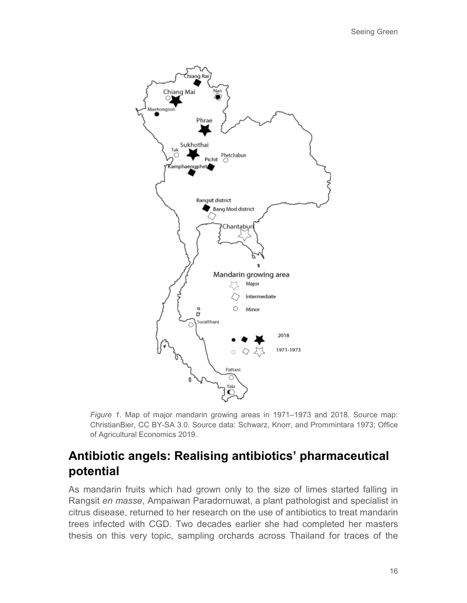

*Figure 1*. Map of major mandarin growing areas in 1971–1973 and 2018. Source map: ChristianBier, CC BY-SA 3.0. Source data: Schwarz, Knorr, and Prommintara 1973; Office of Agricultural Economics 2019.

## **Antibiotic angels: Realising antibiotics' pharmaceutical potential**

As mandarin fruits which had grown only to the size of limes started falling in Rangsit *en masse*, Ampaiwan Paradornuwat, a plant pathologist and specialist in citrus disease, returned to her research on the use of antibiotics to treat mandarin trees infected with CGD. Two decades earlier she had completed her masters thesis on this very topic, sampling orchards across Thailand for traces of the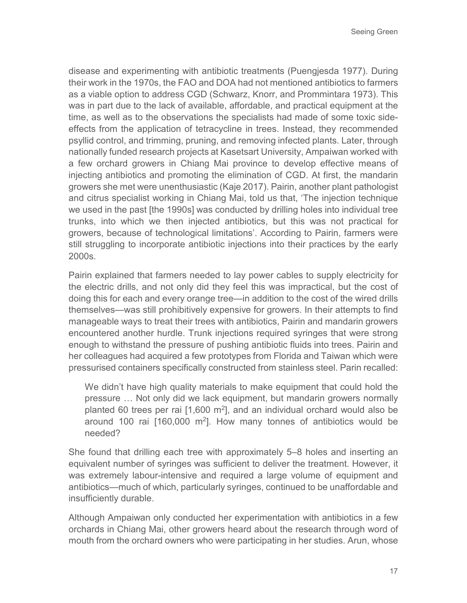disease and experimenting with antibiotic treatments (Puengjesda 1977). During their work in the 1970s, the FAO and DOA had not mentioned antibiotics to farmers as a viable option to address CGD (Schwarz, Knorr, and Prommintara 1973). This was in part due to the lack of available, affordable, and practical equipment at the time, as well as to the observations the specialists had made of some toxic sideeffects from the application of tetracycline in trees. Instead, they recommended psyllid control, and trimming, pruning, and removing infected plants. Later, through nationally funded research projects at Kasetsart University, Ampaiwan worked with a few orchard growers in Chiang Mai province to develop effective means of injecting antibiotics and promoting the elimination of CGD. At first, the mandarin growers she met were unenthusiastic (Kaje 2017). Pairin, another plant pathologist and citrus specialist working in Chiang Mai, told us that, 'The injection technique we used in the past [the 1990s] was conducted by drilling holes into individual tree trunks, into which we then injected antibiotics, but this was not practical for growers, because of technological limitations'. According to Pairin, farmers were still struggling to incorporate antibiotic injections into their practices by the early 2000s.

Pairin explained that farmers needed to lay power cables to supply electricity for the electric drills, and not only did they feel this was impractical, but the cost of doing this for each and every orange tree—in addition to the cost of the wired drills themselves—was still prohibitively expensive for growers. In their attempts to find manageable ways to treat their trees with antibiotics, Pairin and mandarin growers encountered another hurdle. Trunk injections required syringes that were strong enough to withstand the pressure of pushing antibiotic fluids into trees. Pairin and her colleagues had acquired a few prototypes from Florida and Taiwan which were pressurised containers specifically constructed from stainless steel. Parin recalled:

We didn't have high quality materials to make equipment that could hold the pressure … Not only did we lack equipment, but mandarin growers normally planted 60 trees per rai  $[1,600 \text{ m}^2]$ , and an individual orchard would also be around 100 rai [160,000 m2]. How many tonnes of antibiotics would be needed?

She found that drilling each tree with approximately 5–8 holes and inserting an equivalent number of syringes was sufficient to deliver the treatment. However, it was extremely labour-intensive and required a large volume of equipment and antibiotics—much of which, particularly syringes, continued to be unaffordable and insufficiently durable.

Although Ampaiwan only conducted her experimentation with antibiotics in a few orchards in Chiang Mai, other growers heard about the research through word of mouth from the orchard owners who were participating in her studies. Arun, whose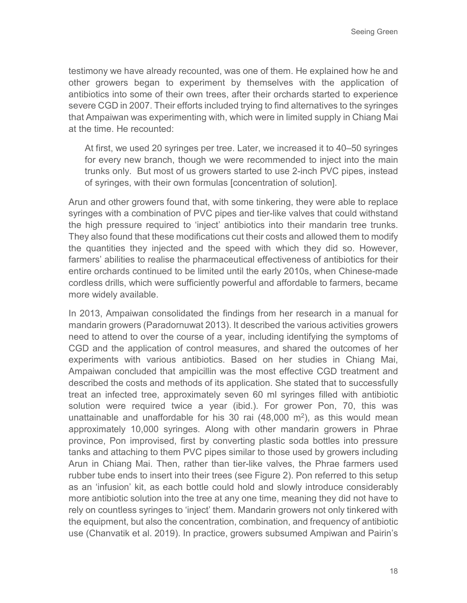testimony we have already recounted, was one of them. He explained how he and other growers began to experiment by themselves with the application of antibiotics into some of their own trees, after their orchards started to experience severe CGD in 2007. Their efforts included trying to find alternatives to the syringes that Ampaiwan was experimenting with, which were in limited supply in Chiang Mai at the time. He recounted:

At first, we used 20 syringes per tree. Later, we increased it to 40–50 syringes for every new branch, though we were recommended to inject into the main trunks only. But most of us growers started to use 2-inch PVC pipes, instead of syringes, with their own formulas [concentration of solution].

Arun and other growers found that, with some tinkering, they were able to replace syringes with a combination of PVC pipes and tier-like valves that could withstand the high pressure required to 'inject' antibiotics into their mandarin tree trunks. They also found that these modifications cut their costs and allowed them to modify the quantities they injected and the speed with which they did so. However, farmers' abilities to realise the pharmaceutical effectiveness of antibiotics for their entire orchards continued to be limited until the early 2010s, when Chinese-made cordless drills, which were sufficiently powerful and affordable to farmers, became more widely available.

In 2013, Ampaiwan consolidated the findings from her research in a manual for mandarin growers (Paradornuwat 2013). It described the various activities growers need to attend to over the course of a year, including identifying the symptoms of CGD and the application of control measures, and shared the outcomes of her experiments with various antibiotics. Based on her studies in Chiang Mai, Ampaiwan concluded that ampicillin was the most effective CGD treatment and described the costs and methods of its application. She stated that to successfully treat an infected tree, approximately seven 60 ml syringes filled with antibiotic solution were required twice a year (ibid.). For grower Pon, 70, this was unattainable and unaffordable for his 30 rai  $(48,000 \text{ m}^2)$ , as this would mean approximately 10,000 syringes. Along with other mandarin growers in Phrae province, Pon improvised, first by converting plastic soda bottles into pressure tanks and attaching to them PVC pipes similar to those used by growers including Arun in Chiang Mai. Then, rather than tier-like valves, the Phrae farmers used rubber tube ends to insert into their trees (see Figure 2). Pon referred to this setup as an 'infusion' kit, as each bottle could hold and slowly introduce considerably more antibiotic solution into the tree at any one time, meaning they did not have to rely on countless syringes to 'inject' them. Mandarin growers not only tinkered with the equipment, but also the concentration, combination, and frequency of antibiotic use (Chanvatik et al. 2019). In practice, growers subsumed Ampiwan and Pairin's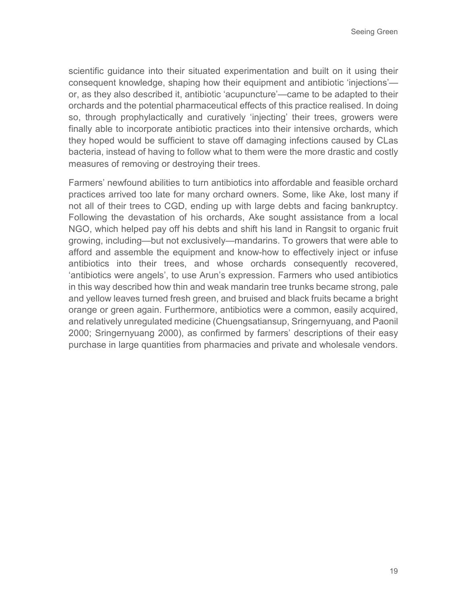scientific guidance into their situated experimentation and built on it using their consequent knowledge, shaping how their equipment and antibiotic 'injections' or, as they also described it, antibiotic 'acupuncture'—came to be adapted to their orchards and the potential pharmaceutical effects of this practice realised. In doing so, through prophylactically and curatively 'injecting' their trees, growers were finally able to incorporate antibiotic practices into their intensive orchards, which they hoped would be sufficient to stave off damaging infections caused by CLas bacteria, instead of having to follow what to them were the more drastic and costly measures of removing or destroying their trees.

Farmers' newfound abilities to turn antibiotics into affordable and feasible orchard practices arrived too late for many orchard owners. Some, like Ake, lost many if not all of their trees to CGD, ending up with large debts and facing bankruptcy. Following the devastation of his orchards, Ake sought assistance from a local NGO, which helped pay off his debts and shift his land in Rangsit to organic fruit growing, including—but not exclusively—mandarins. To growers that were able to afford and assemble the equipment and know-how to effectively inject or infuse antibiotics into their trees, and whose orchards consequently recovered, 'antibiotics were angels', to use Arun's expression. Farmers who used antibiotics in this way described how thin and weak mandarin tree trunks became strong, pale and yellow leaves turned fresh green, and bruised and black fruits became a bright orange or green again. Furthermore, antibiotics were a common, easily acquired, and relatively unregulated medicine (Chuengsatiansup, Sringernyuang, and Paonil 2000; Sringernyuang 2000), as confirmed by farmers' descriptions of their easy purchase in large quantities from pharmacies and private and wholesale vendors.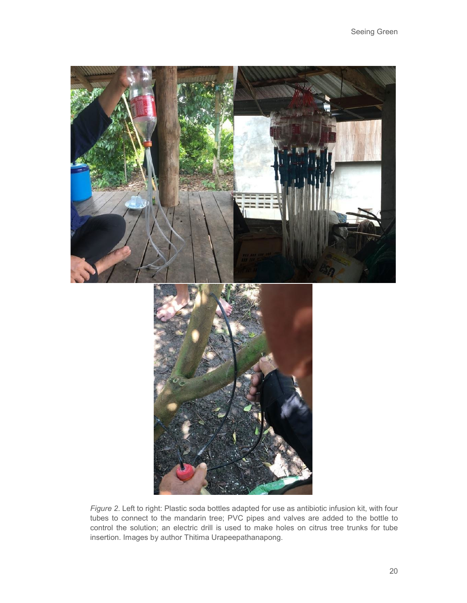

*Figure 2*. Left to right: Plastic soda bottles adapted for use as antibiotic infusion kit, with four tubes to connect to the mandarin tree; PVC pipes and valves are added to the bottle to control the solution; an electric drill is used to make holes on citrus tree trunks for tube insertion. Images by author Thitima Urapeepathanapong.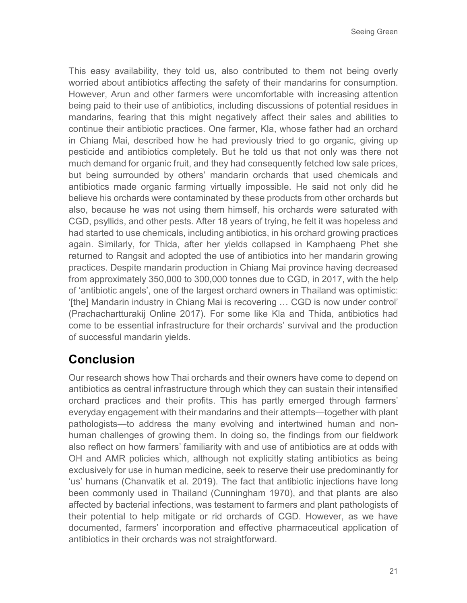This easy availability, they told us, also contributed to them not being overly worried about antibiotics affecting the safety of their mandarins for consumption. However, Arun and other farmers were uncomfortable with increasing attention being paid to their use of antibiotics, including discussions of potential residues in mandarins, fearing that this might negatively affect their sales and abilities to continue their antibiotic practices. One farmer, Kla, whose father had an orchard in Chiang Mai, described how he had previously tried to go organic, giving up pesticide and antibiotics completely. But he told us that not only was there not much demand for organic fruit, and they had consequently fetched low sale prices, but being surrounded by others' mandarin orchards that used chemicals and antibiotics made organic farming virtually impossible. He said not only did he believe his orchards were contaminated by these products from other orchards but also, because he was not using them himself, his orchards were saturated with CGD, psyllids, and other pests. After 18 years of trying, he felt it was hopeless and had started to use chemicals, including antibiotics, in his orchard growing practices again. Similarly, for Thida, after her yields collapsed in Kamphaeng Phet she returned to Rangsit and adopted the use of antibiotics into her mandarin growing practices. Despite mandarin production in Chiang Mai province having decreased from approximately 350,000 to 300,000 tonnes due to CGD, in 2017, with the help of 'antibiotic angels', one of the largest orchard owners in Thailand was optimistic: '[the] Mandarin industry in Chiang Mai is recovering … CGD is now under control' (Prachachartturakij Online 2017). For some like Kla and Thida, antibiotics had come to be essential infrastructure for their orchards' survival and the production of successful mandarin yields.

### **Conclusion**

Our research shows how Thai orchards and their owners have come to depend on antibiotics as central infrastructure through which they can sustain their intensified orchard practices and their profits. This has partly emerged through farmers' everyday engagement with their mandarins and their attempts—together with plant pathologists—to address the many evolving and intertwined human and nonhuman challenges of growing them. In doing so, the findings from our fieldwork also reflect on how farmers' familiarity with and use of antibiotics are at odds with OH and AMR policies which, although not explicitly stating antibiotics as being exclusively for use in human medicine, seek to reserve their use predominantly for 'us' humans (Chanvatik et al. 2019). The fact that antibiotic injections have long been commonly used in Thailand (Cunningham 1970), and that plants are also affected by bacterial infections, was testament to farmers and plant pathologists of their potential to help mitigate or rid orchards of CGD. However, as we have documented, farmers' incorporation and effective pharmaceutical application of antibiotics in their orchards was not straightforward.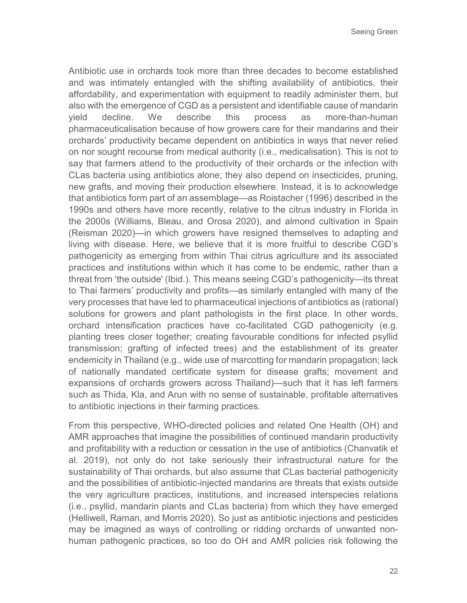Antibiotic use in orchards took more than three decades to become established and was intimately entangled with the shifting availability of antibiotics, their affordability, and experimentation with equipment to readily administer them, but also with the emergence of CGD as a persistent and identifiable cause of mandarin yield decline. We describe this process as more-than-human pharmaceuticalisation because of how growers care for their mandarins and their orchards' productivity became dependent on antibiotics in ways that never relied on nor sought recourse from medical authority (i.e., medicalisation). This is not to say that farmers attend to the productivity of their orchards or the infection with CLas bacteria using antibiotics alone; they also depend on insecticides, pruning, new grafts, and moving their production elsewhere. Instead, it is to acknowledge that antibiotics form part of an assemblage—as Roistacher (1996) described in the 1990s and others have more recently, relative to the citrus industry in Florida in the 2000s (Williams, Bleau, and Orosa 2020), and almond cultivation in Spain (Reisman 2020)—in which growers have resigned themselves to adapting and living with disease. Here, we believe that it is more fruitful to describe CGD's pathogenicity as emerging from within Thai citrus agriculture and its associated practices and institutions within which it has come to be endemic, rather than a threat from 'the outside' (Ibid.). This means seeing CGD's pathogenicity—its threat to Thai farmers' productivity and profits—as similarly entangled with many of the very processes that have led to pharmaceutical injections of antibiotics as (rational) solutions for growers and plant pathologists in the first place. In other words, orchard intensification practices have co-facilitated CGD pathogenicity (e.g. planting trees closer together; creating favourable conditions for infected psyllid transmission; grafting of infected trees) and the establishment of its greater endemicity in Thailand (e.g., wide use of marcotting for mandarin propagation; lack of nationally mandated certificate system for disease grafts; movement and expansions of orchards growers across Thailand)—such that it has left farmers such as Thida, Kla, and Arun with no sense of sustainable, profitable alternatives to antibiotic injections in their farming practices.

From this perspective, WHO-directed policies and related One Health (OH) and AMR approaches that imagine the possibilities of continued mandarin productivity and profitability with a reduction or cessation in the use of antibiotics (Chanvatik et al. 2019), not only do not take seriously their infrastructural nature for the sustainability of Thai orchards, but also assume that CLas bacterial pathogenicity and the possibilities of antibiotic-injected mandarins are threats that exists outside the very agriculture practices, institutions, and increased interspecies relations (i.e., psyllid, mandarin plants and CLas bacteria) from which they have emerged (Helliwell, Raman, and Morris 2020). So just as antibiotic injections and pesticides may be imagined as ways of controlling or ridding orchards of unwanted nonhuman pathogenic practices, so too do OH and AMR policies risk following the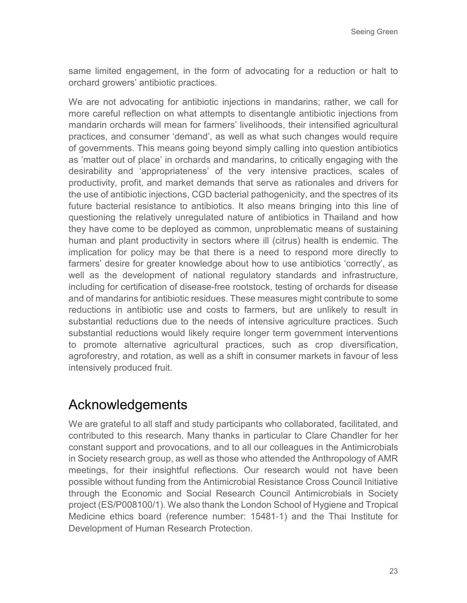same limited engagement, in the form of advocating for a reduction or halt to orchard growers' antibiotic practices.

We are not advocating for antibiotic injections in mandarins; rather, we call for more careful reflection on what attempts to disentangle antibiotic injections from mandarin orchards will mean for farmers' livelihoods, their intensified agricultural practices, and consumer 'demand', as well as what such changes would require of governments. This means going beyond simply calling into question antibiotics as 'matter out of place' in orchards and mandarins, to critically engaging with the desirability and 'appropriateness' of the very intensive practices, scales of productivity, profit, and market demands that serve as rationales and drivers for the use of antibiotic injections, CGD bacterial pathogenicity, and the spectres of its future bacterial resistance to antibiotics. It also means bringing into this line of questioning the relatively unregulated nature of antibiotics in Thailand and how they have come to be deployed as common, unproblematic means of sustaining human and plant productivity in sectors where ill (citrus) health is endemic. The implication for policy may be that there is a need to respond more directly to farmers' desire for greater knowledge about how to use antibiotics 'correctly', as well as the development of national regulatory standards and infrastructure, including for certification of disease-free rootstock, testing of orchards for disease and of mandarins for antibiotic residues. These measures might contribute to some reductions in antibiotic use and costs to farmers, but are unlikely to result in substantial reductions due to the needs of intensive agriculture practices. Such substantial reductions would likely require longer term government interventions to promote alternative agricultural practices, such as crop diversification, agroforestry, and rotation, as well as a shift in consumer markets in favour of less intensively produced fruit.

# Acknowledgements

We are grateful to all staff and study participants who collaborated, facilitated, and contributed to this research. Many thanks in particular to Clare Chandler for her constant support and provocations, and to all our colleagues in the Antimicrobials in Society research group, as well as those who attended the Anthropology of AMR meetings, for their insightful reflections. Our research would not have been possible without funding from the Antimicrobial Resistance Cross Council Initiative through the Economic and Social Research Council Antimicrobials in Society project (ES/P008100/1). We also thank the London School of Hygiene and Tropical Medicine ethics board (reference number: 15481‐1) and the Thai Institute for Development of Human Research Protection.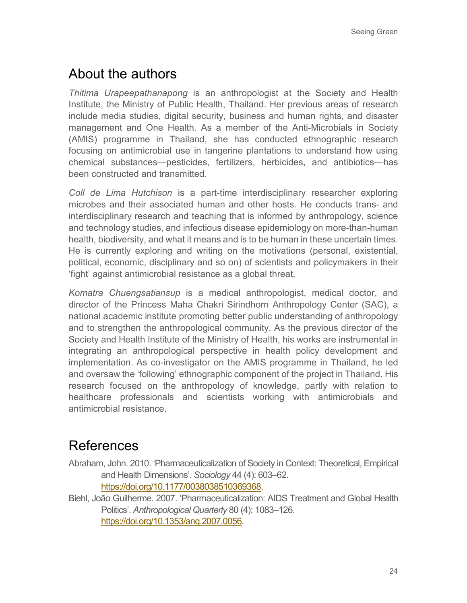# About the authors

*Thitima Urapeepathanapong* is an anthropologist at the Society and Health Institute, the Ministry of Public Health, Thailand. Her previous areas of research include media studies, digital security, business and human rights, and disaster management and One Health. As a member of the Anti-Microbials in Society (AMIS) programme in Thailand, she has conducted ethnographic research focusing on antimicrobial use in tangerine plantations to understand how using chemical substances—pesticides, fertilizers, herbicides, and antibiotics—has been constructed and transmitted.

*Coll de Lima Hutchison* is a part-time interdisciplinary researcher exploring microbes and their associated human and other hosts. He conducts trans- and interdisciplinary research and teaching that is informed by anthropology, science and technology studies, and infectious disease epidemiology on more-than-human health, biodiversity, and what it means and is to be human in these uncertain times. He is currently exploring and writing on the motivations (personal, existential, political, economic, disciplinary and so on) of scientists and policymakers in their 'fight' against antimicrobial resistance as a global threat.

*Komatra Chuengsatiansup* is a medical anthropologist, medical doctor, and director of the Princess Maha Chakri Sirindhorn Anthropology Center (SAC), a national academic institute promoting better public understanding of anthropology and to strengthen the anthropological community. As the previous director of the Society and Health Institute of the Ministry of Health, his works are instrumental in integrating an anthropological perspective in health policy development and implementation. As co-investigator on the AMIS programme in Thailand, he led and oversaw the 'following' ethnographic component of the project in Thailand. His research focused on the anthropology of knowledge, partly with relation to healthcare professionals and scientists working with antimicrobials and antimicrobial resistance.

# References

- Abraham, John. 2010. 'Pharmaceuticalization of Society in Context: Theoretical, Empirical and Health Dimensions'. *Sociology* 44 (4): 603–62. [https://doi.org/10.1177/0038038510369368.](https://doi.org/10.1177/0038038510369368)
- Biehl, João Guilherme. 2007. 'Pharmaceuticalization: AIDS Treatment and Global Health Politics'. *Anthropological Quarterly* 80 (4): 1083–126. [https://doi.org/10.1353/anq.2007.0056.](https://doi.org/10.1353/anq.2007.0056)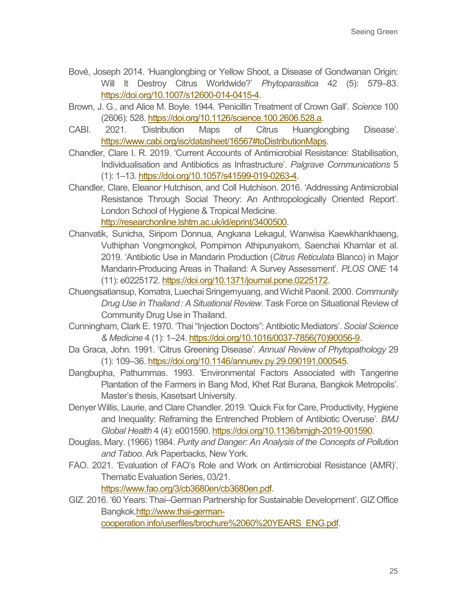- Bové, Joseph 2014. 'Huanglongbing or Yellow Shoot, a Disease of Gondwanan Origin: Will It Destroy Citrus Worldwide?' *Phytoparasitica* 42 (5): 579–83. [https://doi.org/10.1007/s12600-014-0415-4.](https://doi.org/10.1007/s12600-014-0415-4)
- Brown, J. G., and Alice M. Boyle. 1944. 'Penicillin Treatment of Crown Gall'. *Science* 100 (2606): 528. [https://doi.org/10.1126/science.100.2606.528.a.](https://doi.org/10.1126/science.100.2606.528.a)
- CABI. 2021. 'Distribution Maps of Citrus Huanglongbing Disease'. [https://www.cabi.org/isc/datasheet/16567#toDistributionMaps.](https://www.cabi.org/isc/datasheet/16567#toDistributionMaps)
- Chandler, Clare I. R. 2019. 'Current Accounts of Antimicrobial Resistance: Stabilisation, Individualisation and Antibiotics as Infrastructure'. *Palgrave Communications* 5 (1): 1–13[. https://doi.org/10.1057/s41599-019-0263-4.](https://doi.org/10.1057/s41599-019-0263-4)
- Chandler, Clare, Eleanor Hutchison, and Coll Hutchison. 2016. 'Addressing Antimicrobial Resistance Through Social Theory: An Anthropologically Oriented Report'. London School of Hygiene & Tropical Medicine.

[http://researchonline.lshtm.ac.uk/id/eprint/3400500.](http://researchonline.lshtm.ac.uk/id/eprint/3400500)

- Chanvatik, Sunicha, Siriporn Donnua, Angkana Lekagul, Wanwisa Kaewkhankhaeng, Vuthiphan Vongmongkol, Pornpimon Athipunyakom, Saenchai Khamlar et al. 2019. 'Antibiotic Use in Mandarin Production (*Citrus Reticulata* Blanco) in Major Mandarin-Producing Areas in Thailand: A Survey Assessment'. *PLOS ONE* 14 (11): e0225172[. https://doi.org/10.1371/journal.pone.0225172.](https://doi.org/10.1371/journal.pone.0225172)
- Chuengsatiansup, Komatra, Luechai Sringernyuang, and Wichit Paonil. 2000. *Community Drug Use in Thailand : A Situational Review*. Task Force on Situational Review of Community Drug Use in Thailand.
- Cunningham, Clark E. 1970. 'Thai "Injection Doctors": Antibiotic Mediators'. *Social Science & Medicine* 4 (1): 1–24. [https://doi.org/10.1016/0037-7856\(70\)90056-9.](https://doi.org/10.1016/0037-7856(70)90056-9)
- Da Graca, John. 1991. 'Citrus Greening Disease'. *Annual Review of Phytopathology* 29 (1): 109–36. [https://doi.org/10.1146/annurev.py.29.090191.000545.](https://doi.org/10.1146/annurev.py.29.090191.000545)
- Dangbupha, Pathummas. 1993. 'Environmental Factors Associated with Tangerine Plantation of the Farmers in Bang Mod, Khet Rat Burana, Bangkok Metropolis'. Master's thesis, Kasetsart University.
- Denyer Willis, Laurie, and Clare Chandler. 2019. 'Quick Fix for Care, Productivity, Hygiene and Inequality: Reframing the Entrenched Problem of Antibiotic Overuse'. *BMJ Global Health* 4 (4): e001590[. https://doi.org/10.1136/bmjgh-2019-001590.](https://doi.org/10.1136/bmjgh-2019-001590)
- Douglas, Mary. (1966) 1984. *Purity and Danger: An Analysis of the Concepts of Pollution and Taboo*. Ark Paperbacks, New York.
- FAO. 2021. 'Evaluation of FAO's Role and Work on Antimicrobial Resistance (AMR)'. Thematic Evaluation Series, 03/21. [https://www.fao.org/3/cb3680en/cb3680en.pdf.](https://www.fao.org/3/cb3680en/cb3680en.pdf)
- GIZ. 2016. '60 Years: Thai–German Partnership for Sustainable Development'. GIZ Office Bangko[k.http://www.thai-german](http://www.thai-german-cooperation.info/userfiles/brochure%2060%20YEARS_ENG.pdf)[cooperation.info/userfiles/brochure%2060%20YEARS\\_ENG.pdf.](http://www.thai-german-cooperation.info/userfiles/brochure%2060%20YEARS_ENG.pdf)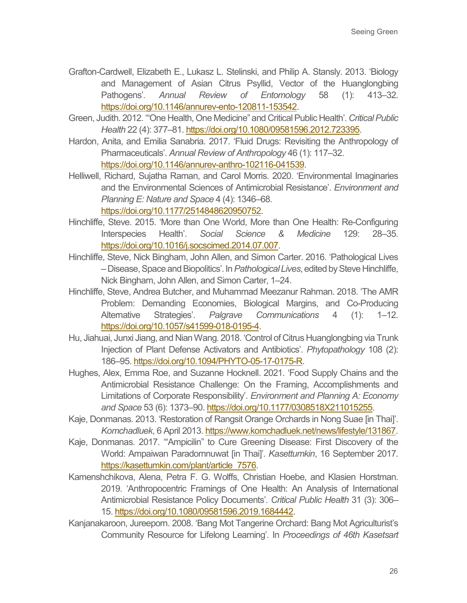- Grafton-Cardwell, Elizabeth E., Lukasz L. Stelinski, and Philip A. Stansly. 2013. 'Biology and Management of Asian Citrus Psyllid, Vector of the Huanglongbing Pathogens'. *Annual Review of Entomology* 58 (1): 413–32. [https://doi.org/10.1146/annurev-ento-120811-153542.](https://doi.org/10.1146/annurev-ento-120811-153542)
- Green, Judith. 2012. '"One Health, One Medicine" and Critical Public Health'. *Critical Public Health* 22 (4): 377–81. [https://doi.org/10.1080/09581596.2012.723395.](https://doi.org/10.1080/09581596.2012.723395)
- Hardon, Anita, and Emilia Sanabria. 2017. 'Fluid Drugs: Revisiting the Anthropology of Pharmaceuticals'. *Annual Review of Anthropology* 46 (1): 117–32. [https://doi.org/10.1146/annurev-anthro-102116-041539.](https://doi.org/10.1146/annurev-anthro-102116-041539)
- Helliwell, Richard, Sujatha Raman, and Carol Morris. 2020. 'Environmental Imaginaries and the Environmental Sciences of Antimicrobial Resistance'. *Environment and Planning E: Nature and Space* 4 (4): 1346–68.

[https://doi.org/10.1177/2514848620950752.](https://doi.org/10.1177/2514848620950752)

- Hinchliffe, Steve. 2015. 'More than One World, More than One Health: Re-Configuring Interspecies Health'. *Social Science & Medicine* 129: 28–35. [https://doi.org/10.1016/j.socscimed.2014.07.007.](https://doi.org/10.1016/j.socscimed.2014.07.007)
- Hinchliffe, Steve, Nick Bingham, John Allen, and Simon Carter. 2016. 'Pathological Lives – Disease, Space and Biopolitics'. In *Pathological Lives*, edited by Steve Hinchliffe, Nick Bingham, John Allen, and Simon Carter, 1–24.
- Hinchliffe, Steve, Andrea Butcher, and Muhammad Meezanur Rahman. 2018. 'The AMR Problem: Demanding Economies, Biological Margins, and Co-Producing Alternative Strategies'. *Palgrave Communications* 4 (1): 1–12. [https://doi.org/10.1057/s41599-018-0195-4.](https://doi.org/10.1057/s41599-018-0195-4)
- Hu, Jiahuai, Junxi Jiang, and Nian Wang. 2018. 'Control of Citrus Huanglongbing via Trunk Injection of Plant Defense Activators and Antibiotics'. *Phytopathology* 108 (2): 186–95[. https://doi.org/10.1094/PHYTO-05-17-0175-R.](https://doi.org/10.1094/PHYTO-05-17-0175-R)
- Hughes, Alex, Emma Roe, and Suzanne Hocknell. 2021. 'Food Supply Chains and the Antimicrobial Resistance Challenge: On the Framing, Accomplishments and Limitations of Corporate Responsibility'. *Environment and Planning A: Economy and Space* 53 (6): 1373–90[. https://doi.org/10.1177/0308518X211015255.](https://doi.org/10.1177/0308518X211015255)
- Kaje, Donmanas. 2013. 'Restoration of Rangsit Orange Orchards in Nong Suae [in Thai]'. *Komchadluek*, 6 April 2013. [https://www.komchadluek.net/news/lifestyle/131867.](https://www.komchadluek.net/news/lifestyle/131867)
- Kaje, Donmanas. 2017. '"Ampicilin" to Cure Greening Disease: First Discovery of the World: Ampaiwan Paradornnuwat [in Thai]'. *Kasettumkin*, 16 September 2017. [https://kasettumkin.com/plant/article\\_7576.](https://kasettumkin.com/plant/article_7576)
- Kamenshchikova, Alena, Petra F. G. Wolffs, Christian Hoebe, and Klasien Horstman. 2019. 'Anthropocentric Framings of One Health: An Analysis of International Antimicrobial Resistance Policy Documents'. *Critical Public Health* 31 (3): 306– 15[. https://doi.org/10.1080/09581596.2019.1684442.](https://doi.org/10.1080/09581596.2019.1684442)
- Kanjanakaroon, Jureeporn. 2008. 'Bang Mot Tangerine Orchard: Bang Mot Agriculturist's Community Resource for Lifelong Learning'. In *Proceedings of 46th Kasetsart*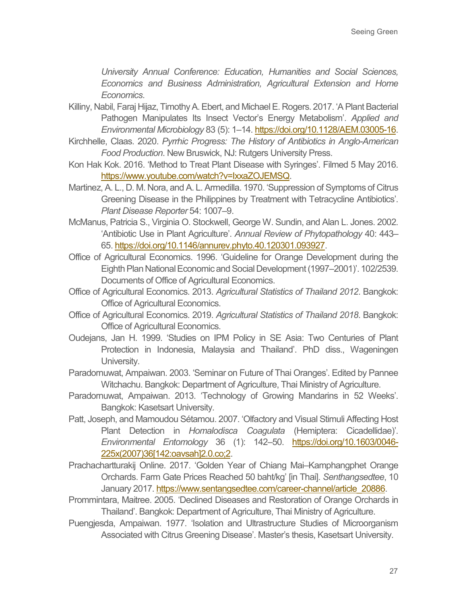*University Annual Conference: Education, Humanities and Social Sciences, Economics and Business Administration, Agricultural Extension and Home Economics*.

- Killiny, Nabil, Faraj Hijaz, Timothy A. Ebert, and Michael E. Rogers. 2017. 'A Plant Bacterial Pathogen Manipulates Its Insect Vector's Energy Metabolism'. *Applied and Environmental Microbiology* 83 (5): 1–14[. https://doi.org/10.1128/AEM.03005-16.](https://doi.org/10.1128/AEM.03005-16)
- Kirchhelle, Claas. 2020. *Pyrrhic Progress: The History of Antibiotics in Anglo-American Food Production*. New Bruswick, NJ: Rutgers University Press.
- Kon Hak Kok. 2016. 'Method to Treat Plant Disease with Syringes'. Filmed 5 May 2016. [https://www.youtube.com/watch?v=IxxaZOJEMSQ.](https://www.youtube.com/watch?v=IxxaZOJEMSQ)
- Martinez, A. L., D. M. Nora, and A. L. Armedilla. 1970. 'Suppression of Symptoms of Citrus Greening Disease in the Philippines by Treatment with Tetracycline Antibiotics'. *Plant Disease Reporter* 54: 1007–9.
- McManus, Patricia S., Virginia O. Stockwell, George W. Sundin, and Alan L. Jones. 2002. 'Antibiotic Use in Plant Agriculture'. *Annual Review of Phytopathology* 40: 443– 65[. https://doi.org/10.1146/annurev.phyto.40.120301.093927.](https://doi.org/10.1146/annurev.phyto.40.120301.093927)
- Office of Agricultural Economics. 1996. 'Guideline for Orange Development during the Eighth Plan National Economic and Social Development (1997–2001)'. 102/2539. Documents of Office of Agricultural Economics.
- Office of Agricultural Economics. 2013. *Agricultural Statistics of Thailand 2012*. Bangkok: Office of Agricultural Economics.
- Office of Agricultural Economics. 2019. *Agricultural Statistics of Thailand 2018*. Bangkok: Office of Agricultural Economics.
- Oudejans, Jan H. 1999. 'Studies on IPM Policy in SE Asia: Two Centuries of Plant Protection in Indonesia, Malaysia and Thailand'. PhD diss., Wageningen University.
- Paradornuwat, Ampaiwan. 2003. 'Seminar on Future of Thai Oranges'. Edited by Pannee Witchachu. Bangkok: Department of Agriculture, Thai Ministry of Agriculture.
- Paradornuwat, Ampaiwan. 2013. 'Technology of Growing Mandarins in 52 Weeks'. Bangkok: Kasetsart University.
- Patt, Joseph, and Mamoudou Sétamou. 2007. 'Olfactory and Visual Stimuli Affecting Host Plant Detection in *Homalodisca Coagulata* (Hemiptera: Cicadellidae)'. *Environmental Entomology* 36 (1): 142–50. [https://doi.org/10.1603/0046-](https://doi.org/10.1603/0046-225x(2007)36%5b142:oavsah%5d2.0.co;2) [225x\(2007\)36\[142:oavsah\]2.0.co;2.](https://doi.org/10.1603/0046-225x(2007)36%5b142:oavsah%5d2.0.co;2)
- Prachachartturakij Online. 2017. 'Golden Year of Chiang Mai–Kamphangphet Orange Orchards. Farm Gate Prices Reached 50 baht/kg' [in Thai]. *Senthangsedtee*, 10 January 2017. [https://www.sentangsedtee.com/career-channel/article\\_20886.](https://www.sentangsedtee.com/career-channel/article_20886)
- Prommintara, Maitree. 2005. 'Declined Diseases and Restoration of Orange Orchards in Thailand'. Bangkok: Department of Agriculture, Thai Ministry of Agriculture.
- Puengjesda, Ampaiwan. 1977. 'Isolation and Ultrastructure Studies of Microorganism Associated with Citrus Greening Disease'. Master's thesis, Kasetsart University.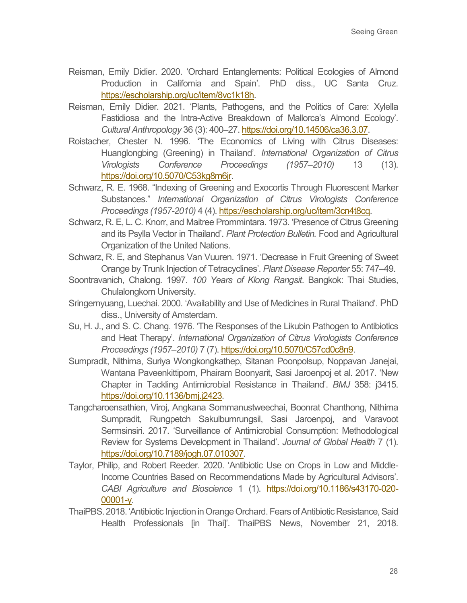- Reisman, Emily Didier. 2020. 'Orchard Entanglements: Political Ecologies of Almond Production in California and Spain'. PhD diss., UC Santa Cruz. [https://escholarship.org/uc/item/8vc1k18h.](https://escholarship.org/uc/item/8vc1k18h)
- Reisman, Emily Didier. 2021. 'Plants, Pathogens, and the Politics of Care: Xylella Fastidiosa and the Intra-Active Breakdown of Mallorca's Almond Ecology'. *Cultural Anthropology* 36 (3): 400–27. [https://doi.org/10.14506/ca36.3.07.](https://doi.org/10.14506/ca36.3.07)
- Roistacher, Chester N. 1996. 'The Economics of Living with Citrus Diseases: Huanglongbing (Greening) in Thailand'. *International Organization of Citrus Virologists Conference Proceedings (1957–2010)* 13 (13). [https://doi.org/10.5070/C53kg8m6jr.](https://doi.org/10.5070/C53kg8m6jr)
- Schwarz, R. E. 1968. "Indexing of Greening and Exocortis Through Fluorescent Marker Substances." *International Organization of Citrus Virologists Conference Proceedings (1957-2010)* 4 (4). [https://escholarship.org/uc/item/3cn4t8cq.](https://escholarship.org/uc/item/3cn4t8cq)
- Schwarz, R. E, L. C. Knorr, and Maitree Prommintara. 1973. 'Presence of Citrus Greening and its Psylla Vector in Thailand'. *Plant Protection Bulletin.* Food and Agricultural Organization of the United Nations.
- Schwarz, R. E, and Stephanus Van Vuuren. 1971. 'Decrease in Fruit Greening of Sweet Orange by Trunk Injection of Tetracyclines'. *Plant Disease Reporter* 55: 747–49.
- Soontravanich, Chalong. 1997. *100 Years of Klong Rangsit*. Bangkok: Thai Studies, Chulalongkorn University.
- Sringernyuang, Luechai. 2000. 'Availability and Use of Medicines in Rural Thailand'. PhD diss., University of Amsterdam.
- Su, H. J., and S. C. Chang. 1976. 'The Responses of the Likubin Pathogen to Antibiotics and Heat Therapy'. *International Organization of Citrus Virologists Conference Proceedings (1957–2010)* 7 (7). [https://doi.org/10.5070/C57cd0c8n9.](https://doi.org/10.5070/C57cd0c8n9)
- Sumpradit, Nithima, Suriya Wongkongkathep, Sitanan Poonpolsup, Noppavan Janejai, Wantana Paveenkittiporn, Phairam Boonyarit, Sasi Jaroenpoj et al. 2017. 'New Chapter in Tackling Antimicrobial Resistance in Thailand'. *BMJ* 358: j3415. [https://doi.org/10.1136/bmj.j2423.](https://doi.org/10.1136/bmj.j2423)
- Tangcharoensathien, Viroj, Angkana Sommanustweechai, Boonrat Chanthong, Nithima Sumpradit, Rungpetch Sakulbumrungsil, Sasi Jaroenpoj, and Varavoot Sermsinsiri. 2017. 'Surveillance of Antimicrobial Consumption: Methodological Review for Systems Development in Thailand'. *Journal of Global Health* 7 (1). [https://doi.org/10.7189/jogh.07.010307.](https://doi.org/10.7189/jogh.07.010307)
- Taylor, Philip, and Robert Reeder. 2020. 'Antibiotic Use on Crops in Low and Middle-Income Countries Based on Recommendations Made by Agricultural Advisors'. *CABI Agriculture and Bioscience* 1 (1). [https://doi.org/10.1186/s43170-020-](https://doi.org/10.1186/s43170-020-00001-y) [00001-y.](https://doi.org/10.1186/s43170-020-00001-y)
- ThaiPBS. 2018. 'Antibiotic Injection in Orange Orchard. Fears of Antibiotic Resistance, Said Health Professionals [in Thai]'. ThaiPBS News, November 21, 2018.